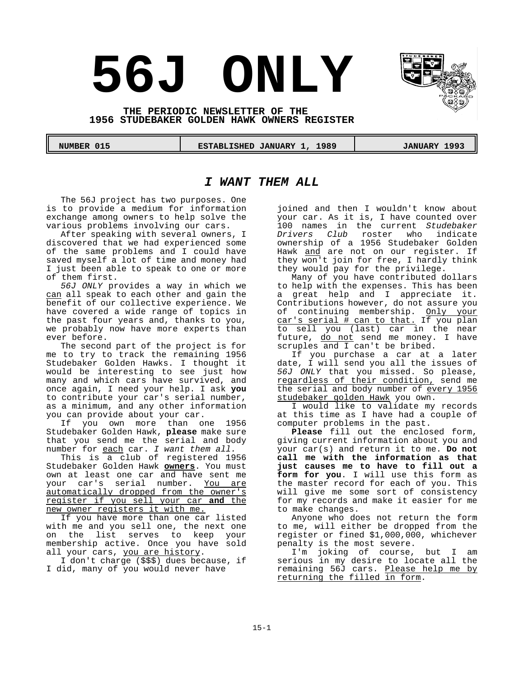# **56J ONLY**

**THE PERIODIC NEWSLETTER OF THE 1956 STUDEBAKER GOLDEN HAWK OWNERS REGISTER**

 **NUMBER 015 ESTABLISHED JANUARY 1, 1989 JANUARY 1993** 

# *I WANT THEM ALL*

The 56J project has two purposes. One is to provide a medium for information exchange among owners to help solve the various problems involving our cars.

After speaking with several owners, I discovered that we had experienced some of the same problems and I could have saved myself a lot of time and money had I just been able to speak to one or more of them first.

*56J ONLY* provides a way in which we can all speak to each other and gain the benefit of our collective experience. We have covered a wide range of topics in the past four years and, thanks to you, we probably now have more experts than ever before.

The second part of the project is for me to try to track the remaining 1956 Studebaker Golden Hawks. I thought it would be interesting to see just how many and which cars have survived, and once again, I need your help. I ask **you** to contribute your car's serial number, as a minimum, and any other information you can provide about your car.

If you own more than one 1956 Studebaker Golden Hawk, **please** make sure that you send me the serial and body number for each car. *I want them all.*

This is a club of registered 1956 Studebaker Golden Hawk **owners**. You must own at least one car and have sent me your car's serial number. You are automatically dropped from the owner's register if you sell your car **and** the new owner registers it with me.

If you have more than one car listed with me and you sell one, the next one on the list serves to keep your membership active. Once you have sold all your cars, you are history.

I don't charge (\$\$\$) dues because, if I did, many of you would never have

joined and then I wouldn't know about your car. As it is, I have counted over 100 names in the current *Studebaker Drivers Club* roster who indicate ownership of a 1956 Studebaker Golden Hawk and are not on our register. If they won't join for free, I hardly think they would pay for the privilege.

Many of you have contributed dollars to help with the expenses. This has been a great help and I appreciate it. Contributions however, do not assure you of continuing membership. <u>Only your</u> car's serial # can to that. If you plan to sell you (last) car in the near future, do not send me money. I have scruples and I can't be bribed.

If you purchase a car at a later date, I will send you all the issues of *56J ONLY* that you missed. So please, regardless of their condition, send me the serial and body number of every 1956 studebaker golden Hawk you own.

I would like to validate my records at this time as I have had a couple of computer problems in the past.

**Please** fill out the enclosed form, giving current information about you and your car(s) and return it to me. **Do not call me with the information as that just causes me to have to fill out a form for you**. I will use this form as the master record for each of you. This will give me some sort of consistency for my records and make it easier for me to make changes.

Anyone who does not return the form to me, will either be dropped from the register or fined \$1,000,000, whichever penalty is the most severe.

I'm joking of course, but I am serious in my desire to locate all the remaining 56J cars. Please help me by returning the filled in form.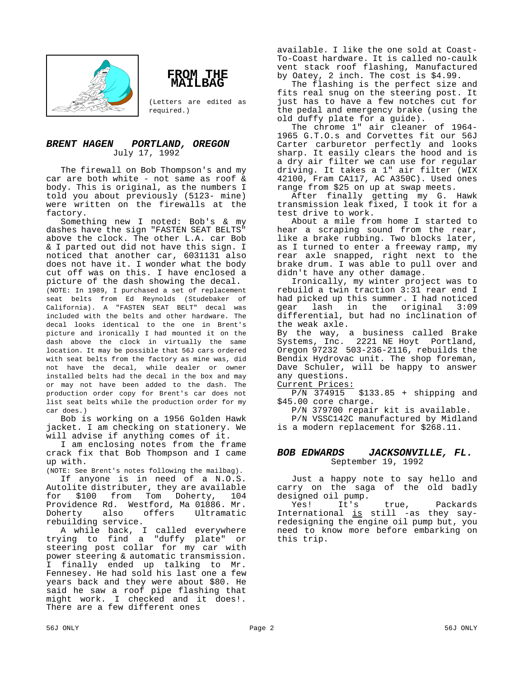



(Letters are edited as required.)

## *BRENT HAGEN PORTLAND, OREGON* July 17, 1992

The firewall on Bob Thompson's and my car are both white - not same as roof & body. This is original, as the numbers I told you about previously (5123- mine) were written on the firewalls at the factory.

Something new I noted: Bob's & my dashes have the sign "FASTEN SEAT BELTS" above the clock. The other L.A. car Bob & I parted out did not have this sign. I noticed that another car, 6031131 also does not have it. I wonder what the body cut off was on this. I have enclosed a picture of the dash showing the decal.

(NOTE: In 1989, I purchased a set of replacement seat belts from Ed Reynolds (Studebaker of California). A "FASTEN SEAT BELT" decal was included with the belts and other hardware. The decal looks identical to the one in Brent's picture and ironically I had mounted it on the dash above the clock in virtually the same location. It may be possible that 56J cars ordered with seat belts from the factory as mine was, did not have the decal, while dealer or owner installed belts had the decal in the box and may or may not have been added to the dash. The production order copy for Brent's car does not list seat belts while the production order for my car does.)

Bob is working on a 1956 Golden Hawk jacket. I am checking on stationery. We will advise if anything comes of it.

I am enclosing notes from the frame crack fix that Bob Thompson and I came up with.

(NOTE: See Brent's notes following the mailbag).

If anyone is in need of a N.O.S. Autolite distributer, they are available for \$100 from Tom Doherty, 104 Providence Rd. Westford, Ma 01886. Mr. Ultramatic rebuilding service.

A while back, I called everywhere trying to find a "duffy plate" or steering post collar for my car with power steering & automatic transmission. I finally ended up talking to Mr. Fennesey. He had sold his last one a few years back and they were about \$80. He said he saw a roof pipe flashing that might work. I checked and it does!. There are a few different ones

available. I like the one sold at Coast-To-Coast hardware. It is called no-caulk vent stack roof flashing, Manufactured by Oatey, 2 inch. The cost is \$4.99.

The flashing is the perfect size and fits real snug on the steering post. It just has to have a few notches cut for the pedal and emergency brake (using the old duffy plate for a guide).

The chrome 1" air cleaner of 1964- 1965 G.T.O.s and Corvettes fit our 56J Carter carburetor perfectly and looks sharp. It easily clears the hood and is a dry air filter we can use for regular driving. It takes a 1" air filter (WIX 42100, Fram CA117, AC A350C). Used ones range from \$25 on up at swap meets.

After finally getting my G. Hawk transmission leak fixed, I took it for a test drive to work.

About a mile from home I started to hear a scraping sound from the rear, like a brake rubbing. Two blocks later, as I turned to enter a freeway ramp, my rear axle snapped, right next to the brake drum. I was able to pull over and didn't have any other damage.

Ironically, my winter project was to rebuild a twin traction 3:31 rear end I had picked up this summer. I had noticed gear lash in the original 3:09 differential, but had no inclination of the weak axle.

By the way, a business called Brake Systems, Inc. 2221 NE Hoyt Portland, Oregon 97232 503-236-2116, rebuilds the Bendix Hydrovac unit. The shop foreman, Dave Schuler, will be happy to answer any questions.

Current Prices:

P/N 374915 \$133.85 + shipping and \$45.00 core charge.

P/N 379700 repair kit is available. P/N VSSC142C manufactured by Midland is a modern replacement for \$268.11.

## *BOB EDWARDS JACKSONVILLE, FL.* September 19, 1992

Just a happy note to say hello and carry on the saga of the old badly designed oil pump.<br>Yes! It's

Yes! It's true, Packards International is still -as they sayredesigning the engine oil pump but, you need to know more before embarking on this trip.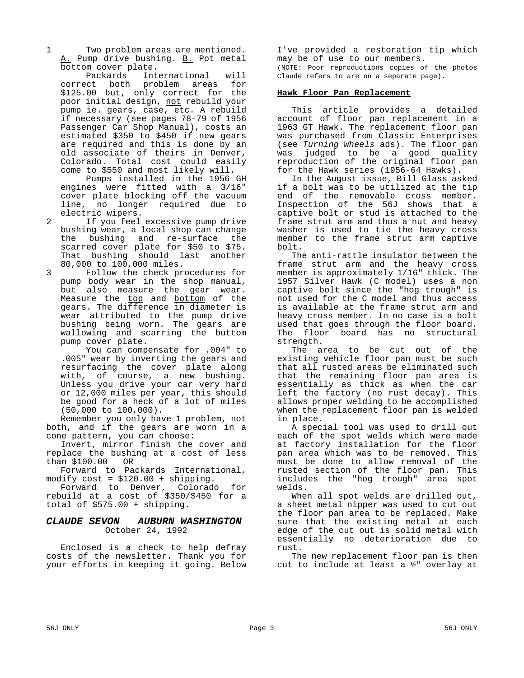1 Two problem areas are mentioned. A. Pump drive bushing. B. Pot metal

bottom cover plate.<br>Packards Int International will correct both problem areas for \$125.00 but, only correct for the poor initial design, not rebuild your pump ie. gears, case, etc. A rebuild if necessary (see pages 78-79 of 1956 Passenger Car Shop Manual), costs an estimated \$350 to \$450 if new gears are required and this is done by an old associate of theirs in Denver, Colorado. Total cost could easily come to \$550 and most likely will.

Pumps installed in the 1956 GH engines were fitted with a 3/16" cover plate blocking off the vacuum line, no longer required due to electric wipers.

- 2 If you feel excessive pump drive bushing wear, a local shop can change the bushing and re-surface the scarred cover plate for \$50 to \$75. That bushing should last another 80,000 to 100,000 miles.
- 3 Follow the check procedures for pump body wear in the shop manual, but also measure the gear wear. Measure the top and bottom of the gears. The difference in diameter is wear attributed to the pump drive bushing being worn. The gears are wallowing and scarring the buttom pump cover plate.

You can compensate for .004" to .005" wear by inverting the gears and resurfacing the cover plate along with, of course, a new bushing. Unless you drive your car very hard or 12,000 miles per year, this should be good for a heck of a lot of miles (50,000 to 100,000).

Remember you only have 1 problem, not both, and if the gears are worn in a cone pattern, you can choose:

Invert, mirror finish the cover and replace the bushing at a cost of less than \$100.00 OR

Forward to Packards International, modify cost = \$120.00 + shipping.

Forward to Denver, Colorado for rebuild at a cost of \$350/\$450 for a total of \$575.00 + shipping.

## *CLAUDE SEVON AUBURN WASHINGTON* October 24, 1992

Enclosed is a check to help defray costs of the newsletter. Thank you for your efforts in keeping it going. Below

I've provided a restoration tip which may be of use to our members. (NOTE: Poor reproductions copies of the photos Claude refers to are on a separate page).

## **Hawk Floor Pan Replacement**

This article provides a detailed account of floor pan replacement in a 1963 GT Hawk. The replacement floor pan was purchased from Classic Enterprises (see *Turning Wheels* ads). The floor pan was judged to be a good quality reproduction of the original floor pan for the Hawk series (1956-64 Hawks).

In the August issue, Bill Glass asked if a bolt was to be utilized at the tip end of the removable cross member. Inspection of the 56J shows that a captive bolt or stud is attached to the frame strut arm and thus a nut and heavy washer is used to tie the heavy cross member to the frame strut arm captive bolt.

The anti-rattle insulator between the frame strut arm and the heavy cross member is approximately 1/16" thick. The 1957 Silver Hawk (C model) uses a non captive bolt since the "hog trough" is not used for the C model and thus access is available at the frame strut arm and heavy cross member. In no case is a bolt used that goes through the floor board. The floor board has no structural strength.

The area to be cut out of the existing vehicle floor pan must be such that all rusted areas be eliminated such that the remaining floor pan area is essentially as thick as when the car left the factory (no rust decay). This allows proper welding to be accomplished when the replacement floor pan is welded in place.

A special tool was used to drill out each of the spot welds which were made at factory installation for the floor pan area which was to be removed. This must be done to allow removal of the rusted section of the floor pan. This includes the "hog trough" area spot welds.

When all spot welds are drilled out, a sheet metal nipper was used to cut out the floor pan area to be replaced. Make sure that the existing metal at each edge of the cut out is solid metal with essentially no deterioration due to rust.

The new replacement floor pan is then cut to include at least a ½" overlay at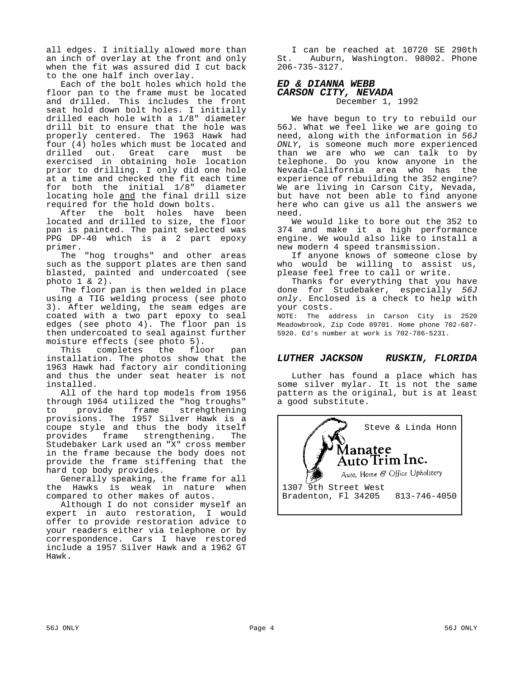all edges. I initially alowed more than an inch of overlay at the front and only when the fit was assured did I cut back to the one half inch overlay.

Each of the bolt holes which hold the floor pan to the frame must be located and drilled. This includes the front seat hold down bolt holes. I initially drilled each hole with a 1/8" diameter drill bit to ensure that the hole was properly centered. The 1963 Hawk had four (4) holes which must be located and drilled out. Great care must be exercised in obtaining hole location prior to drilling. I only did one hole at a time and checked the fit each time for both the initial 1/8" diameter locating hole and the final drill size required for the hold down bolts.

After the bolt holes have been located and drilled to size, the floor pan is painted. The paint selected was PPG DP-40 which is a 2 part epoxy primer.

The "hog troughs" and other areas such as the support plates are then sand blasted, painted and undercoated (see photo 1 & 2).

The floor pan is then welded in place using a TIG welding process (see photo 3). After welding, the seam edges are coated with a two part epoxy to seal edges (see photo 4). The floor pan is then undercoated to seal against further moisture effects (see photo 5).

This completes the floor pan installation. The photos show that the 1963 Hawk had factory air conditioning and thus the under seat heater is not installed.

All of the hard top models from 1956 through 1964 utilized the "hog troughs" to provide frame strehgthening provisions. The 1957 Silver Hawk is a coupe style and thus the body itself<br>provides frame strengthening. The strengthening. Studebaker Lark used an "X" cross member in the frame because the body does not provide the frame stiffening that the hard top body provides.

Generally speaking, the frame for all the Hawks is weak in nature when compared to other makes of autos.

Although I do not consider myself an expert in auto restoration, I would offer to provide restoration advice to your readers either via telephone or by correspondence. Cars I have restored include a 1957 Silver Hawk and a 1962 GT Hawk.

I can be reached at 10720 SE 290th<br>St. Auburn, Washington, 98002, Phone Auburn, Washington. 98002. Phone 206-735-3127.

## *ED & DIANNA WEBB CARSON CITY, NEVADA*

December 1, 1992

We have begun to try to rebuild our 56J. What we feel like we are going to need, along with the information in *56J ONLY*, is someone much more experienced than we are who we can talk to by telephone. Do you know anyone in the Nevada-California area who has the experience of rebuilding the 352 engine? We are living in Carson City, Nevada, but have not been able to find anyone here who can give us all the answers we need.

We would like to bore out the 352 to 374 and make it a high performance engine. We would also like to install a new modern 4 speed transmission.

If anyone knows of someone close by who would be willing to assist us, please feel free to call or write.

Thanks for everything that you have done for Studebaker, especially *56J only*. Enclosed is a check to help with your costs.

NOTE: The address in Carson City is 2520 Meadowbrook, Zip Code 89701. Home phone 702-687- 5920. Ed's number at work is 702-786-5231.

## *LUTHER JACKSON RUSKIN, FLORIDA*

Luther has found a place which has some silver mylar. It is not the same pattern as the original, but is at least a good substitute.

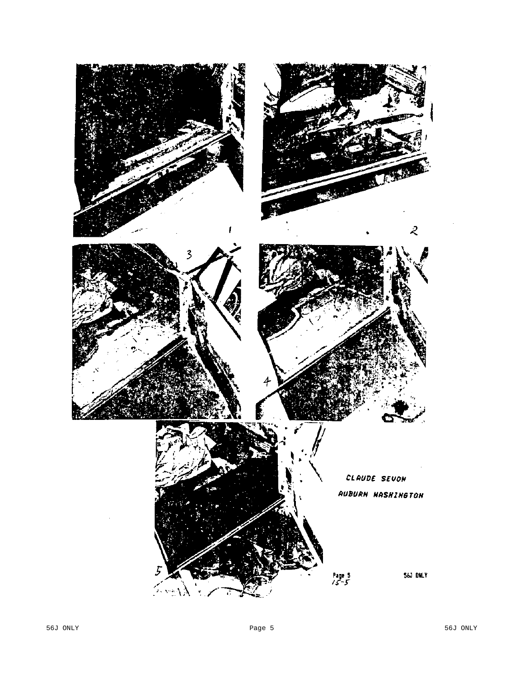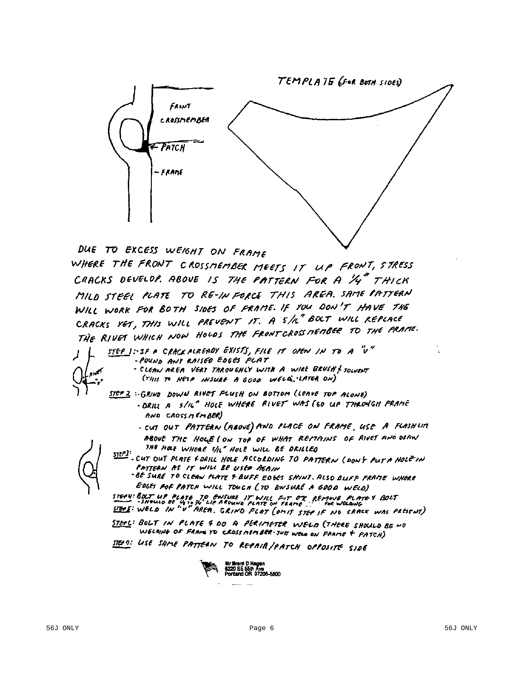

DUE TO EXCESS WEIGHT ON FRAME

WHERE THE FRONT CROSSMEMBER MEETS IT UP FRONT, STRESS CRACKS DEVELOP. ABOVE IS THE PATTERN FOR A 1/4" THICK MILD STEEL PLATE TO RE-IN FORCE THIS AREA. SAME PATTERN WILL WORK FOR BOTH SIDES OF FRAME. IF YOU DON'T HAVE THE CRACKS VET, THIS WILL PREVENT IT. A 5/n" BOLT WILL REPLACE CRACKS VET, THIS WILL PREVENT IT. IT SING WAS TO THE FRAME.<br>THE RIVET WHICH NOW HOLDS THE FRONT CROSS MEMBER TO THE FRAME.

STEP 1: IF A CRACK ALREADY EXISTS, FILE IT OPEN IN TO A "V" - POUND ANY RAISED EDGES FLAT.

- CLEAN AREA VERT TAROUGHLY WITH A WIRE BRUSH & SOLVENT (THIS TO HELP INSURE A GOOD WELD, LATER ON)
- STEP 2 : GRIND DOWN RIVET FLUSH ON BOTTOM (LEAVE TOP ALONE)
	- DRILL A S/IL" HOLE WHERE RIVET WAS (SO UP THROMGH FRAME AND CROSSMEMBER)
		- CUT OUT PATTERN (ABOVE) AND PLACE ON FRAME, USE A FLASHUM
	- ABOUE THE HOLE (ON TOP OF WHAT REMAINS OF RIVET AND ORAN THE HOLE WHERE S/L" HOLE WILL BE DRILLED

 $\frac{STEP3!}{STEP2!}$  - CUT OUT PLATE FORILL HOLE ACCORDING TO PATTERN (DON'T PUTA HOLE IN PATTERN AS IT WILL BE USED ASAIN

-BE SURE TO CLEAN PLATE F BUFF EDGES SHINT. RLSD BLIFF FRAME WHERE EDGES FOF PATCH WILL TOUCH (TO ENSURE A GOOD WELD)

STEP4: BOLT UP PLATE TO ENSURE IT WILL FIT OX REMOVE PLATEY BOLT<br>- SHOULD BE 14 TO W LIF AROUND PLATE ON FRAME. FOR WELDING STREET: WELD IN "V" AREA, GRIND FLATE ON FRAME ..." FOR WELDING

STEPL: BOLT IN PLATE 4 DO A PERIMETER WELD (THERE SHOULD BE NO WELDING OF FRAME TO CROSS NEMBER-JUST WELD ON FRAME + PATCH)

STEP ?: USE SAME PATTERN TO REPAIR/PATCH OPPOSITE SIDE

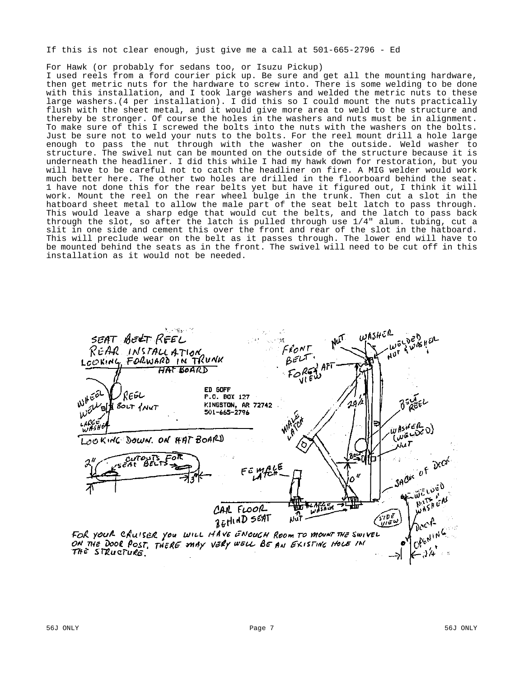If this is not clear enough, just give me a call at 501-665-2796 - Ed

For Hawk (or probably for sedans too, or Isuzu Pickup)

I used reels from a ford courier pick up. Be sure and get all the mounting hardware, then get metric nuts for the hardware to screw into. There is some welding to be done with this installation, and I took large washers and welded the metric nuts to these large washers.(4 per installation). I did this so I could mount the nuts practically flush with the sheet metal, and it would give more area to weld to the structure and thereby be stronger. Of course the holes in the washers and nuts must be in alignment. To make sure of this I screwed the bolts into the nuts with the washers on the bolts. Just be sure not to weld your nuts to the bolts. For the reel mount drill a hole large enough to pass the nut through with the washer on the outside. Weld washer to structure. The swivel nut can be mounted on the outside of the structure because it is underneath the headliner. I did this while I had my hawk down for restoration, but you will have to be careful not to catch the headliner on fire. A MIG welder would work much better here. The other two holes are drilled in the floorboard behind the seat. 1 have not done this for the rear belts yet but have it figured out, I think it will work. Mount the reel on the rear wheel bulge in the trunk. Then cut a slot in the hatboard sheet metal to allow the male part of the seat belt latch to pass through. This would leave a sharp edge that would cut the belts, and the latch to pass back through the slot, so after the latch is pulled through use 1/4" alum. tubing, cut a slit in one side and cement this over the front and rear of the slot in the hatboard. This will preclude wear on the belt as it passes through. The lower end will have to be mounted behind the seats as in the front. The swivel will need to be cut off in this installation as it would not be needed.

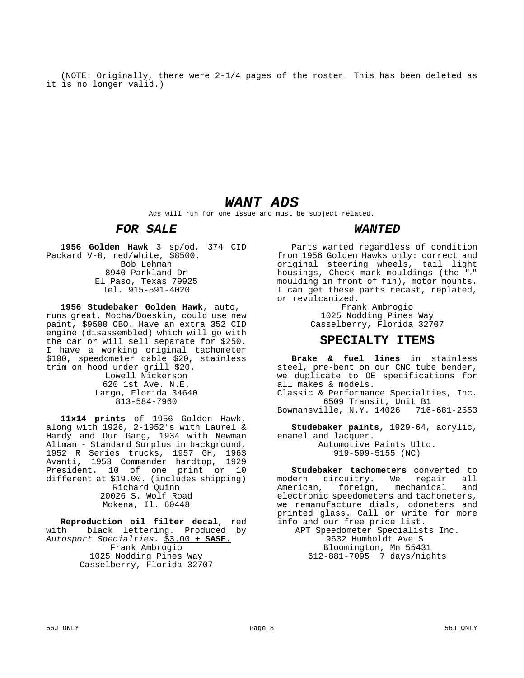(NOTE: Originally, there were 2-1/4 pages of the roster. This has been deleted as it is no longer valid.)

# *WANT ADS*

Ads will run for one issue and must be subject related.

# *FOR SALE*

**1956 Golden Hawk** 3 sp/od, 374 CID Packard V-8, red/white, \$8500. Bob Lehman 8940 Parkland Dr El Paso, Texas 79925 Tel. 915-591-4020

**1956 Studebaker Golden Hawk**, auto, runs great, Mocha/Doeskin, could use new paint, \$9500 OBO. Have an extra 352 CID engine (disassembled) which will go with the car or will sell separate for \$250. I have a working original tachometer \$100, speedometer cable \$20, stainless trim on hood under grill \$20. Lowell Nickerson 620 1st Ave. N.E. Largo, Florida 34640 813-584-7960

**11x14 prints** of 1956 Golden Hawk, along with 1926, 2-1952's with Laurel & Hardy and Our Gang, 1934 with Newman Altman - Standard Surplus in background, 1952 R Series trucks, 1957 GH, 1963 Avanti, 1953 Commander hardtop, 1929 President. 10 of one print or 10 different at \$19.00. (includes shipping) Richard Quinn 20026 S. Wolf Road Mokena, Il. 60448

**Reproduction oil filter decal**, red<br>with black lettering. Produced by black lettering. Produced by *Autosport Specialties.* \$3.00 **+ SASE**. Frank Ambrogio 1025 Nodding Pines Way Casselberry, Florida 32707

## *WANTED*

Parts wanted regardless of condition from 1956 Golden Hawks only: correct and original steering wheels, tail light housings, Check mark mouldings (the  $"\prime"$ moulding in front of fin), motor mounts. I can get these parts recast, replated, or revulcanized.

> Frank Ambrogio 1025 Nodding Pines Way Casselberry, Florida 32707

## **SPECIALTY ITEMS**

**Brake & fuel lines** in stainless steel, pre-bent on our CNC tube bender, we duplicate to OE specifications for all makes & models. Classic & Performance Specialties, Inc. 6509 Transit, Unit B1 Bowmansville, N.Y. 14026 716-681-2553

**Studebaker paints,** 1929-64, acrylic, enamel and lacquer.

Automotive Paints Ultd. 919-599-5155 (NC)

**Studebaker tachometers** converted to<br>dern circuitry, We repair all modern circuitry. We repair American, foreign, mechanical and electronic speedometers and tachometers, we remanufacture dials, odometers and printed glass. Call or write for more info and our free price list. APT Speedometer Specialists Inc. 9632 Humboldt Ave S.

Bloomington, Mn 55431 612-881-7095 7 days/nights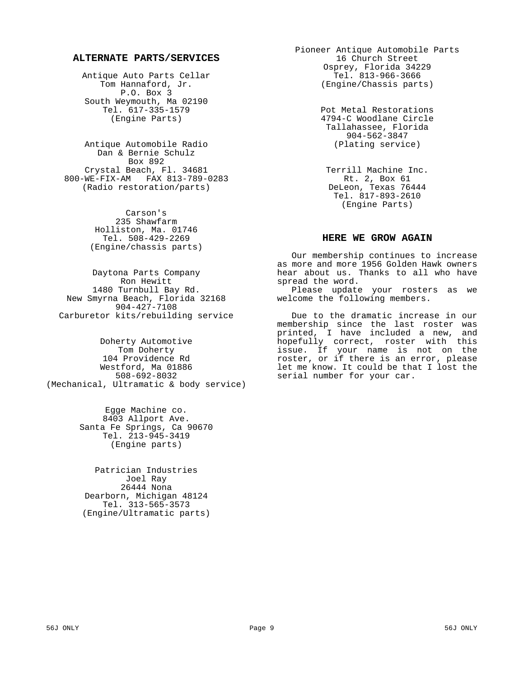## **ALTERNATE PARTS/SERVICES**

Antique Auto Parts Cellar Tom Hannaford, Jr. P.O. Box 3 South Weymouth, Ma 02190 Tel. 617-335-1579 (Engine Parts)

Antique Automobile Radio Dan & Bernie Schulz Box 892 Crystal Beach, Fl. 34681 800-WE-FIX-AM FAX 813-789-0283 (Radio restoration/parts)

> Carson's 235 Shawfarm Holliston, Ma. 01746 Tel. 508-429-2269 (Engine/chassis parts)

Daytona Parts Company Ron Hewitt 1480 Turnbull Bay Rd. New Smyrna Beach, Florida 32168 904-427-7108 Carburetor kits/rebuilding service

Doherty Automotive Tom Doherty 104 Providence Rd Westford, Ma 01886 508-692-8032 (Mechanical, Ultramatic & body service)

> Egge Machine co. 8403 Allport Ave. Santa Fe Springs, Ca 90670 Tel. 213-945-3419 (Engine parts)

Patrician Industries Joel Ray 26444 Nona Dearborn, Michigan 48124 Tel. 313-565-3573 (Engine/Ultramatic parts) Pioneer Antique Automobile Parts 16 Church Street Osprey, Florida 34229 Tel. 813-966-3666 (Engine/Chassis parts)

> Pot Metal Restorations 4794-C Woodlane Circle Tallahassee, Florida 904-562-3847 (Plating service)

Terrill Machine Inc. Rt. 2, Box 61 DeLeon, Texas 76444 Tel. 817-893-2610 (Engine Parts)

## **HERE WE GROW AGAIN**

Our membership continues to increase as more and more 1956 Golden Hawk owners hear about us. Thanks to all who have spread the word.

Please update your rosters as we welcome the following members.

Due to the dramatic increase in our membership since the last roster was printed, I have included a new, and hopefully correct, roster with this issue. If your name is not on the roster, or if there is an error, please let me know. It could be that I lost the serial number for your car.